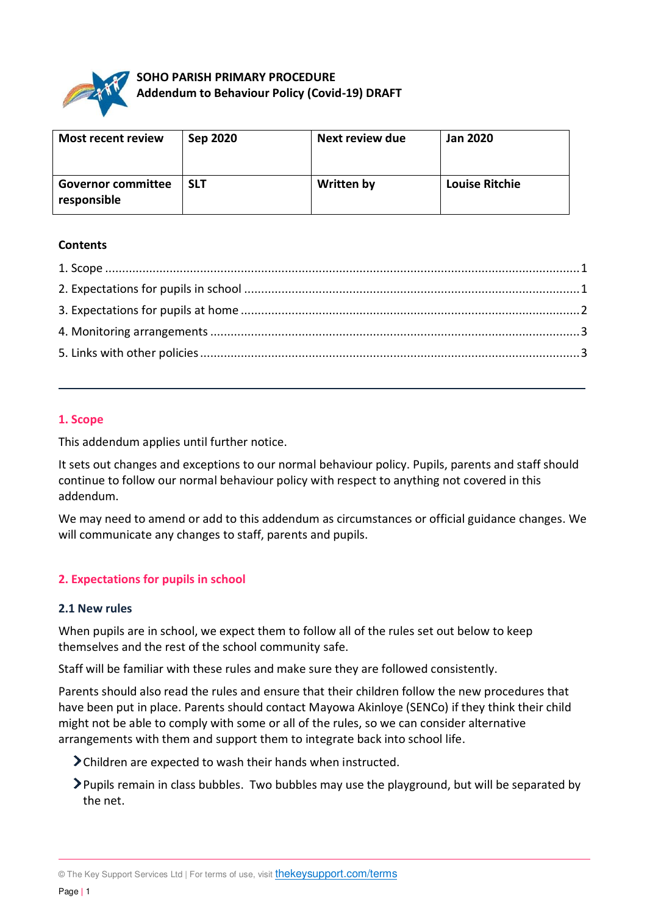

# **SOHO PARISH PRIMARY PROCEDURE Addendum to Behaviour Policy (Covid-19) DRAFT**

| <b>Most recent review</b>                | Sep 2020   | Next review due   | <b>Jan 2020</b>       |
|------------------------------------------|------------|-------------------|-----------------------|
| <b>Governor committee</b><br>responsible | <b>SLT</b> | <b>Written by</b> | <b>Louise Ritchie</b> |

### **Contents**

## <span id="page-0-0"></span>**1. Scope**

This addendum applies until further notice.

It sets out changes and exceptions to our normal behaviour policy. Pupils, parents and staff should continue to follow our normal behaviour policy with respect to anything not covered in this addendum.

We may need to amend or add to this addendum as circumstances or official guidance changes. We will communicate any changes to staff, parents and pupils.

## <span id="page-0-1"></span>**2. Expectations for pupils in school**

#### **2.1 New rules**

When pupils are in school, we expect them to follow all of the rules set out below to keep themselves and the rest of the school community safe.

Staff will be familiar with these rules and make sure they are followed consistently.

Parents should also read the rules and ensure that their children follow the new procedures that have been put in place. Parents should contact Mayowa Akinloye (SENCo) if they think their child might not be able to comply with some or all of the rules, so we can consider alternative arrangements with them and support them to integrate back into school life.

- Children are expected to wash their hands when instructed.
- Pupils remain in class bubbles. Two bubbles may use the playground, but will be separated by the net.

<sup>©</sup> The Key Support Services Ltd | For terms of use, visit **[thekeysupport.com/terms](https://thekeysupport.com/terms-of-use)**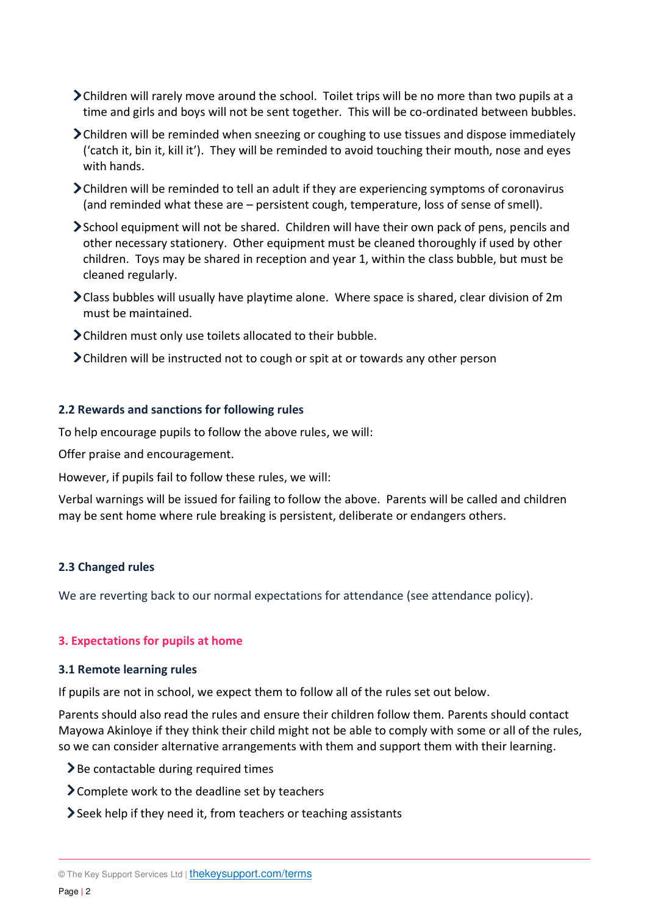- Children will rarely move around the school. Toilet trips will be no more than two pupils at a time and girls and boys will not be sent together. This will be co-ordinated between bubbles.
- Children will be reminded when sneezing or coughing to use tissues and dispose immediately ('catch it, bin it, kill it'). They will be reminded to avoid touching their mouth, nose and eyes with hands.
- Children will be reminded to tell an adult if they are experiencing symptoms of coronavirus (and reminded what these are – persistent cough, temperature, loss of sense of smell).
- School equipment will not be shared. Children will have their own pack of pens, pencils and other necessary stationery. Other equipment must be cleaned thoroughly if used by other children. Toys may be shared in reception and year 1, within the class bubble, but must be cleaned regularly.
- Class bubbles will usually have playtime alone. Where space is shared, clear division of 2m must be maintained.
- Children must only use toilets allocated to their bubble.
- Children will be instructed not to cough or spit at or towards any other person

## **2.2 Rewards and sanctions for following rules**

To help encourage pupils to follow the above rules, we will:

Offer praise and encouragement.

However, if pupils fail to follow these rules, we will:

Verbal warnings will be issued for failing to follow the above. Parents will be called and children may be sent home where rule breaking is persistent, deliberate or endangers others.

# **2.3 Changed rules**

<span id="page-1-0"></span>We are reverting back to our normal expectations for attendance (see attendance policy).

# **3. Expectations for pupils at home**

## **3.1 Remote learning rules**

If pupils are not in school, we expect them to follow all of the rules set out below.

Parents should also read the rules and ensure their children follow them. Parents should contact Mayowa Akinloye if they think their child might not be able to comply with some or all of the rules, so we can consider alternative arrangements with them and support them with their learning.

- $\geq$  Be contactable during required times
- Complete work to the deadline set by teachers
- Seek help if they need it, from teachers or teaching assistants

<sup>©</sup> The Key Support Services Ltd | [thekeysupport.com/terms](https://thekeysupport.com/terms-of-use)